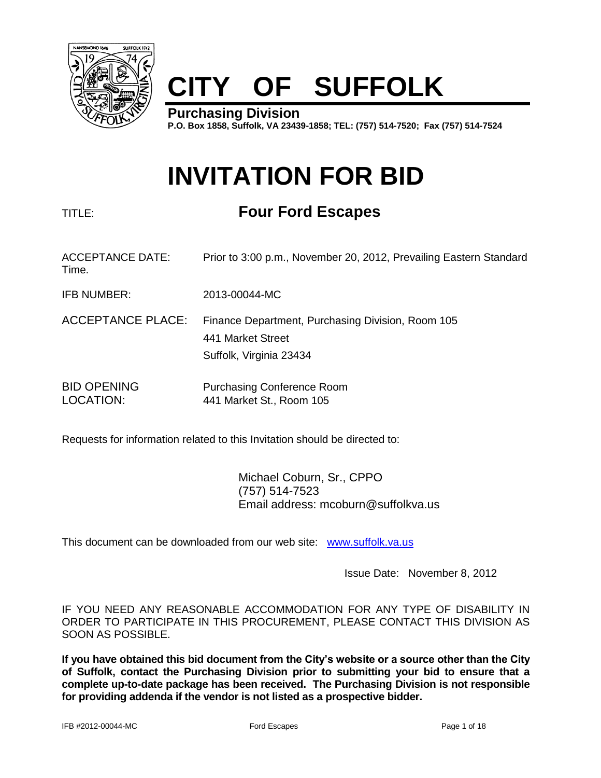

# **CITY OF SUFFOLK**

**Purchasing Division P.O. Box 1858, Suffolk, VA 23439-1858; TEL: (757) 514-7520; Fax (757) 514-7524**

## **INVITATION FOR BID**

## TITLE: **Four Ford Escapes**

| <b>ACCEPTANCE DATE:</b><br>Time. | Prior to 3:00 p.m., November 20, 2012, Prevailing Eastern Standard                                |
|----------------------------------|---------------------------------------------------------------------------------------------------|
| <b>IFB NUMBER:</b>               | 2013-00044-MC                                                                                     |
| <b>ACCEPTANCE PLACE:</b>         | Finance Department, Purchasing Division, Room 105<br>441 Market Street<br>Suffolk, Virginia 23434 |
| <b>BID OPENING</b><br>LOCATION:  | <b>Purchasing Conference Room</b><br>441 Market St., Room 105                                     |

Requests for information related to this Invitation should be directed to:

Michael Coburn, Sr., CPPO (757) 514-7523 Email address: mcoburn@suffolkva.us

This document can be downloaded from our web site: [www.suffolk.va.us](http://www.suffolk.va.us/)

Issue Date: November 8, 2012

IF YOU NEED ANY REASONABLE ACCOMMODATION FOR ANY TYPE OF DISABILITY IN ORDER TO PARTICIPATE IN THIS PROCUREMENT, PLEASE CONTACT THIS DIVISION AS SOON AS POSSIBLE.

**If you have obtained this bid document from the City's website or a source other than the City of Suffolk, contact the Purchasing Division prior to submitting your bid to ensure that a complete up-to-date package has been received. The Purchasing Division is not responsible for providing addenda if the vendor is not listed as a prospective bidder.**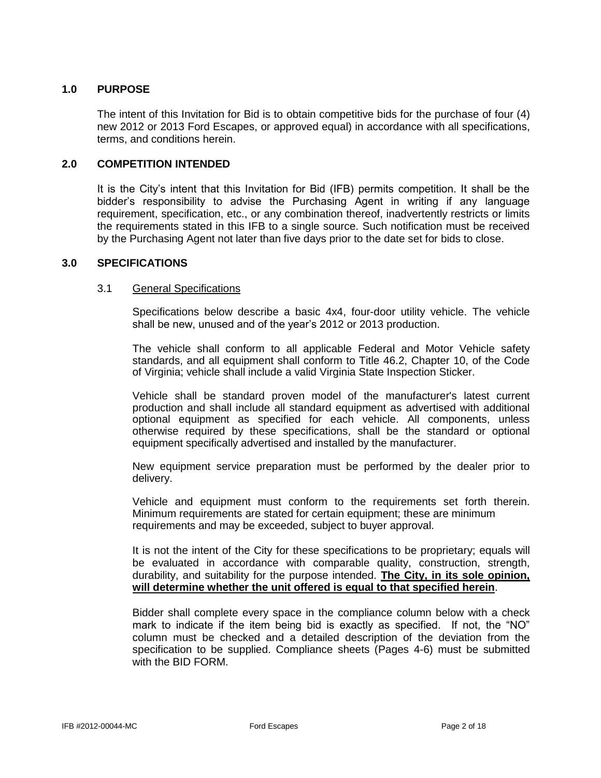#### **1.0 PURPOSE**

The intent of this Invitation for Bid is to obtain competitive bids for the purchase of four (4) new 2012 or 2013 Ford Escapes, or approved equal) in accordance with all specifications, terms, and conditions herein.

#### **2.0 COMPETITION INTENDED**

It is the City's intent that this Invitation for Bid (IFB) permits competition. It shall be the bidder's responsibility to advise the Purchasing Agent in writing if any language requirement, specification, etc., or any combination thereof, inadvertently restricts or limits the requirements stated in this IFB to a single source. Such notification must be received by the Purchasing Agent not later than five days prior to the date set for bids to close.

#### **3.0 SPECIFICATIONS**

#### 3.1 General Specifications

Specifications below describe a basic 4x4, four-door utility vehicle. The vehicle shall be new, unused and of the year's 2012 or 2013 production.

The vehicle shall conform to all applicable Federal and Motor Vehicle safety standards, and all equipment shall conform to Title 46.2, Chapter 10, of the Code of Virginia; vehicle shall include a valid Virginia State Inspection Sticker.

Vehicle shall be standard proven model of the manufacturer's latest current production and shall include all standard equipment as advertised with additional optional equipment as specified for each vehicle. All components, unless otherwise required by these specifications, shall be the standard or optional equipment specifically advertised and installed by the manufacturer.

New equipment service preparation must be performed by the dealer prior to delivery.

Vehicle and equipment must conform to the requirements set forth therein. Minimum requirements are stated for certain equipment; these are minimum requirements and may be exceeded, subject to buyer approval.

It is not the intent of the City for these specifications to be proprietary; equals will be evaluated in accordance with comparable quality, construction, strength, durability, and suitability for the purpose intended. **The City, in its sole opinion, will determine whether the unit offered is equal to that specified herein**.

Bidder shall complete every space in the compliance column below with a check mark to indicate if the item being bid is exactly as specified. If not, the "NO" column must be checked and a detailed description of the deviation from the specification to be supplied. Compliance sheets (Pages 4-6) must be submitted with the BID FORM.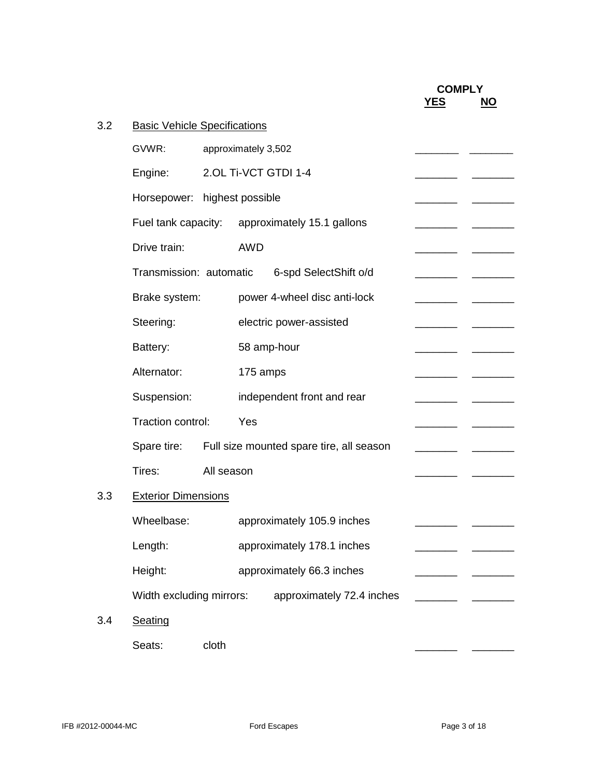|     |                                     |            |            |                                                      |            | <b>COMPLY</b>             |
|-----|-------------------------------------|------------|------------|------------------------------------------------------|------------|---------------------------|
|     |                                     |            |            |                                                      | <b>YES</b> | $\underline{\mathsf{NO}}$ |
| 3.2 | <b>Basic Vehicle Specifications</b> |            |            |                                                      |            |                           |
|     | GVWR:                               |            |            | approximately 3,502                                  |            |                           |
|     | Engine:                             |            |            | 2.OL Ti-VCT GTDI 1-4                                 |            |                           |
|     | Horsepower: highest possible        |            |            |                                                      |            |                           |
|     |                                     |            |            | Fuel tank capacity: approximately 15.1 gallons       |            |                           |
|     | Drive train:                        |            | <b>AWD</b> |                                                      |            |                           |
|     | Transmission: automatic             |            |            | 6-spd SelectShift o/d                                |            |                           |
|     | Brake system:                       |            |            | power 4-wheel disc anti-lock                         |            |                           |
|     | Steering:                           |            |            | electric power-assisted                              |            |                           |
|     | Battery:                            |            |            | 58 amp-hour                                          |            |                           |
|     | Alternator:                         |            |            | 175 amps                                             |            |                           |
|     | Suspension:                         |            |            | independent front and rear                           |            |                           |
|     | Traction control:                   |            | Yes        |                                                      |            |                           |
|     |                                     |            |            | Spare tire: Full size mounted spare tire, all season |            |                           |
|     | Tires:                              | All season |            |                                                      |            |                           |
| 3.3 | <b>Exterior Dimensions</b>          |            |            |                                                      |            |                           |
|     | Wheelbase:                          |            |            | approximately 105.9 inches                           |            |                           |
|     | Length:                             |            |            | approximately 178.1 inches                           |            |                           |
|     | Height:                             |            |            | approximately 66.3 inches                            |            |                           |
|     | Width excluding mirrors:            |            |            | approximately 72.4 inches                            |            |                           |
| 3.4 | Seating                             |            |            |                                                      |            |                           |
|     | Seats:                              | cloth      |            |                                                      |            |                           |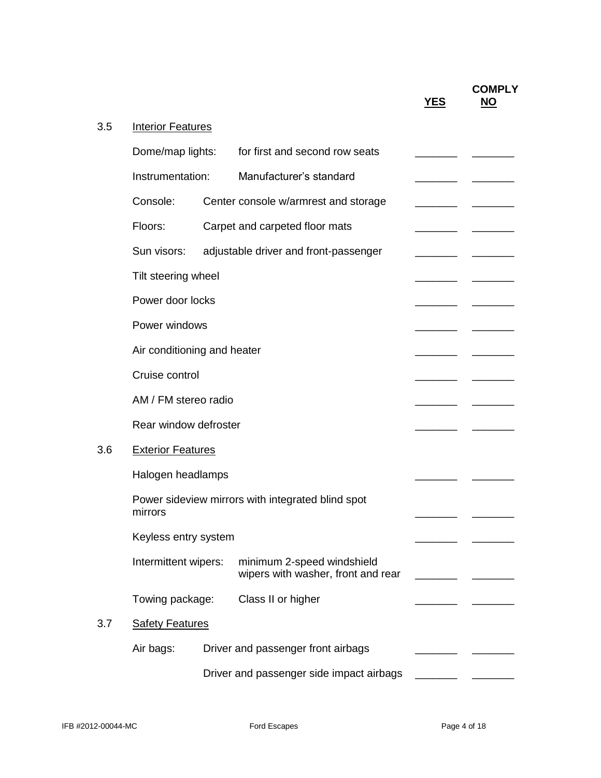|     |                             |                                                                  | <b>YES</b> | <b>COMPLY</b><br><b>NO</b> |
|-----|-----------------------------|------------------------------------------------------------------|------------|----------------------------|
| 3.5 | <b>Interior Features</b>    |                                                                  |            |                            |
|     | Dome/map lights:            | for first and second row seats                                   |            |                            |
|     | Instrumentation:            | Manufacturer's standard                                          |            |                            |
|     | Console:                    | Center console w/armrest and storage                             |            |                            |
|     | Floors:                     | Carpet and carpeted floor mats                                   |            |                            |
|     | Sun visors:                 | adjustable driver and front-passenger                            |            |                            |
|     | Tilt steering wheel         |                                                                  |            |                            |
|     | Power door locks            |                                                                  |            |                            |
|     | Power windows               |                                                                  |            |                            |
|     | Air conditioning and heater |                                                                  |            |                            |
|     | Cruise control              |                                                                  |            |                            |
|     | AM / FM stereo radio        |                                                                  |            |                            |
|     | Rear window defroster       |                                                                  |            |                            |
| 3.6 | <b>Exterior Features</b>    |                                                                  |            |                            |
|     | Halogen headlamps           |                                                                  |            |                            |
|     | mirrors                     | Power sideview mirrors with integrated blind spot                |            |                            |
|     | Keyless entry system        |                                                                  |            |                            |
|     | Intermittent wipers:        | minimum 2-speed windshield<br>wipers with washer, front and rear |            |                            |
|     | Towing package:             | Class II or higher                                               |            |                            |
| 3.7 | <b>Safety Features</b>      |                                                                  |            |                            |
|     | Air bags:                   | Driver and passenger front airbags                               |            |                            |
|     |                             | Driver and passenger side impact airbags                         |            |                            |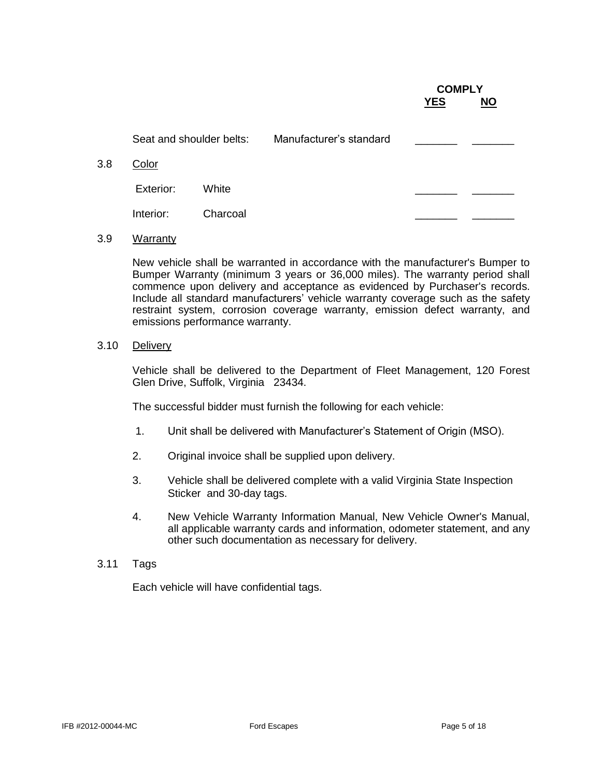|           |          |                          |  | <b>NO</b>  |               |
|-----------|----------|--------------------------|--|------------|---------------|
|           |          | Manufacturer's standard  |  |            |               |
| Color     |          |                          |  |            |               |
| Exterior: | White    |                          |  |            |               |
| Interior: | Charcoal |                          |  |            |               |
|           |          | Seat and shoulder belts: |  | <b>YES</b> | <b>COMPLY</b> |

3.9 Warranty

New vehicle shall be warranted in accordance with the manufacturer's Bumper to Bumper Warranty (minimum 3 years or 36,000 miles). The warranty period shall commence upon delivery and acceptance as evidenced by Purchaser's records. Include all standard manufacturers' vehicle warranty coverage such as the safety restraint system, corrosion coverage warranty, emission defect warranty, and emissions performance warranty.

#### 3.10 Delivery

Vehicle shall be delivered to the Department of Fleet Management, 120 Forest Glen Drive, Suffolk, Virginia 23434.

The successful bidder must furnish the following for each vehicle:

- 1. Unit shall be delivered with Manufacturer's Statement of Origin (MSO).
- 2. Original invoice shall be supplied upon delivery.
- 3. Vehicle shall be delivered complete with a valid Virginia State Inspection Sticker and 30-day tags.
- 4. New Vehicle Warranty Information Manual, New Vehicle Owner's Manual, all applicable warranty cards and information, odometer statement, and any other such documentation as necessary for delivery.
- 3.11 Tags

Each vehicle will have confidential tags.

**COMPLETE**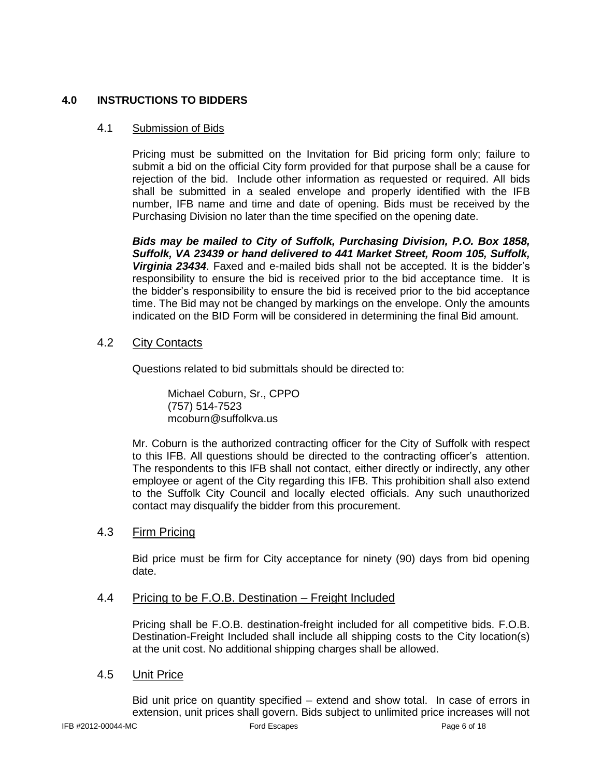## **4.0 INSTRUCTIONS TO BIDDERS**

## 4.1 Submission of Bids

Pricing must be submitted on the Invitation for Bid pricing form only; failure to submit a bid on the official City form provided for that purpose shall be a cause for rejection of the bid. Include other information as requested or required. All bids shall be submitted in a sealed envelope and properly identified with the IFB number, IFB name and time and date of opening. Bids must be received by the Purchasing Division no later than the time specified on the opening date.

*Bids may be mailed to City of Suffolk, Purchasing Division, P.O. Box 1858, Suffolk, VA 23439 or hand delivered to 441 Market Street, Room 105, Suffolk, Virginia 23434*. Faxed and e-mailed bids shall not be accepted. It is the bidder's responsibility to ensure the bid is received prior to the bid acceptance time. It is the bidder's responsibility to ensure the bid is received prior to the bid acceptance time. The Bid may not be changed by markings on the envelope. Only the amounts indicated on the BID Form will be considered in determining the final Bid amount.

## 4.2 City Contacts

Questions related to bid submittals should be directed to:

Michael Coburn, Sr., CPPO (757) 514-7523 mcoburn@suffolkva.us

Mr. Coburn is the authorized contracting officer for the City of Suffolk with respect to this IFB. All questions should be directed to the contracting officer's attention. The respondents to this IFB shall not contact, either directly or indirectly, any other employee or agent of the City regarding this IFB. This prohibition shall also extend to the Suffolk City Council and locally elected officials. Any such unauthorized contact may disqualify the bidder from this procurement.

## 4.3 Firm Pricing

Bid price must be firm for City acceptance for ninety (90) days from bid opening date.

## 4.4 Pricing to be F.O.B. Destination – Freight Included

Pricing shall be F.O.B. destination-freight included for all competitive bids. F.O.B. Destination-Freight Included shall include all shipping costs to the City location(s) at the unit cost. No additional shipping charges shall be allowed.

## 4.5 Unit Price

Bid unit price on quantity specified – extend and show total. In case of errors in extension, unit prices shall govern. Bids subject to unlimited price increases will not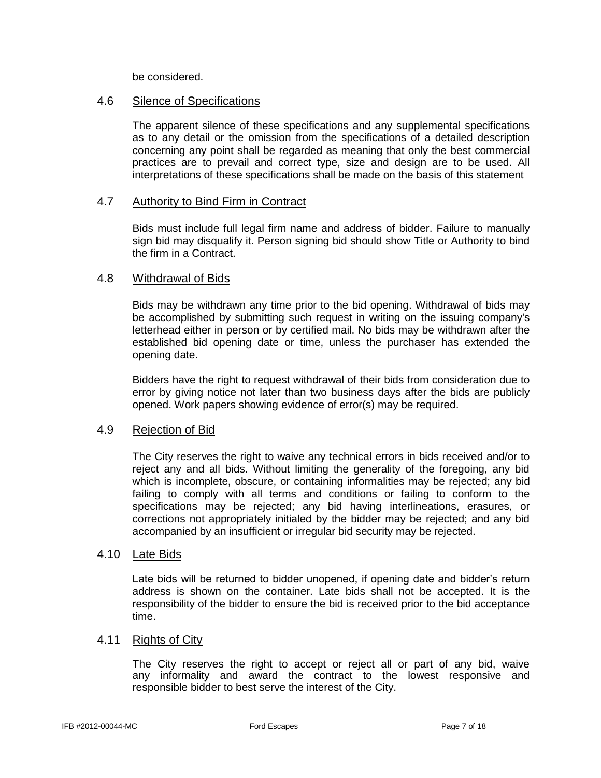be considered.

## 4.6 Silence of Specifications

The apparent silence of these specifications and any supplemental specifications as to any detail or the omission from the specifications of a detailed description concerning any point shall be regarded as meaning that only the best commercial practices are to prevail and correct type, size and design are to be used. All interpretations of these specifications shall be made on the basis of this statement

## 4.7 Authority to Bind Firm in Contract

Bids must include full legal firm name and address of bidder. Failure to manually sign bid may disqualify it. Person signing bid should show Title or Authority to bind the firm in a Contract.

## 4.8 Withdrawal of Bids

Bids may be withdrawn any time prior to the bid opening. Withdrawal of bids may be accomplished by submitting such request in writing on the issuing company's letterhead either in person or by certified mail. No bids may be withdrawn after the established bid opening date or time, unless the purchaser has extended the opening date.

Bidders have the right to request withdrawal of their bids from consideration due to error by giving notice not later than two business days after the bids are publicly opened. Work papers showing evidence of error(s) may be required.

## 4.9 Rejection of Bid

The City reserves the right to waive any technical errors in bids received and/or to reject any and all bids. Without limiting the generality of the foregoing, any bid which is incomplete, obscure, or containing informalities may be rejected; any bid failing to comply with all terms and conditions or failing to conform to the specifications may be rejected; any bid having interlineations, erasures, or corrections not appropriately initialed by the bidder may be rejected; and any bid accompanied by an insufficient or irregular bid security may be rejected.

## 4.10 Late Bids

Late bids will be returned to bidder unopened, if opening date and bidder's return address is shown on the container. Late bids shall not be accepted. It is the responsibility of the bidder to ensure the bid is received prior to the bid acceptance time.

## 4.11 Rights of City

The City reserves the right to accept or reject all or part of any bid, waive any informality and award the contract to the lowest responsive and responsible bidder to best serve the interest of the City.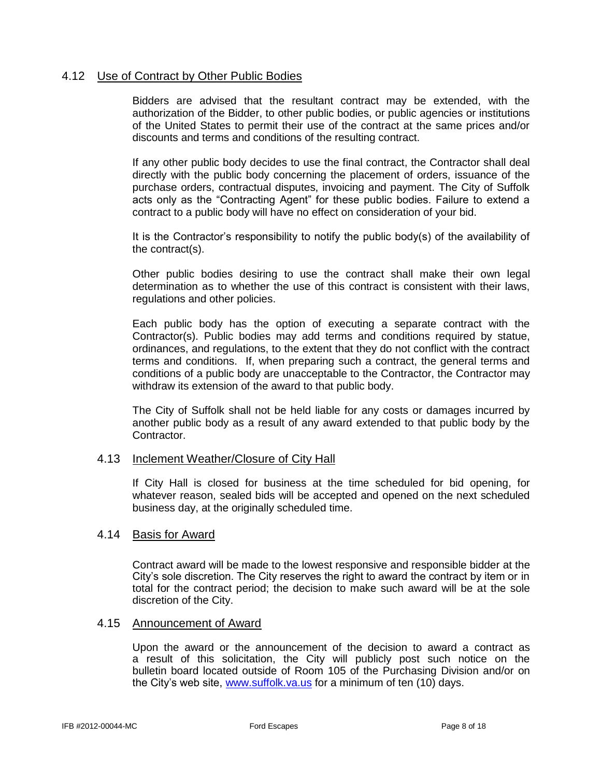## 4.12 Use of Contract by Other Public Bodies

Bidders are advised that the resultant contract may be extended, with the authorization of the Bidder, to other public bodies, or public agencies or institutions of the United States to permit their use of the contract at the same prices and/or discounts and terms and conditions of the resulting contract.

If any other public body decides to use the final contract, the Contractor shall deal directly with the public body concerning the placement of orders, issuance of the purchase orders, contractual disputes, invoicing and payment. The City of Suffolk acts only as the "Contracting Agent" for these public bodies. Failure to extend a contract to a public body will have no effect on consideration of your bid.

It is the Contractor's responsibility to notify the public body(s) of the availability of the contract(s).

Other public bodies desiring to use the contract shall make their own legal determination as to whether the use of this contract is consistent with their laws, regulations and other policies.

Each public body has the option of executing a separate contract with the Contractor(s). Public bodies may add terms and conditions required by statue, ordinances, and regulations, to the extent that they do not conflict with the contract terms and conditions. If, when preparing such a contract, the general terms and conditions of a public body are unacceptable to the Contractor, the Contractor may withdraw its extension of the award to that public body.

The City of Suffolk shall not be held liable for any costs or damages incurred by another public body as a result of any award extended to that public body by the Contractor.

#### 4.13 Inclement Weather/Closure of City Hall

If City Hall is closed for business at the time scheduled for bid opening, for whatever reason, sealed bids will be accepted and opened on the next scheduled business day, at the originally scheduled time.

#### 4.14 Basis for Award

Contract award will be made to the lowest responsive and responsible bidder at the City's sole discretion. The City reserves the right to award the contract by item or in total for the contract period; the decision to make such award will be at the sole discretion of the City.

#### 4.15 Announcement of Award

Upon the award or the announcement of the decision to award a contract as a result of this solicitation, the City will publicly post such notice on the bulletin board located outside of Room 105 of the Purchasing Division and/or on the City's web site, [www.suffolk.va.us](http://www.suffolk.va.us/) for a minimum of ten (10) days.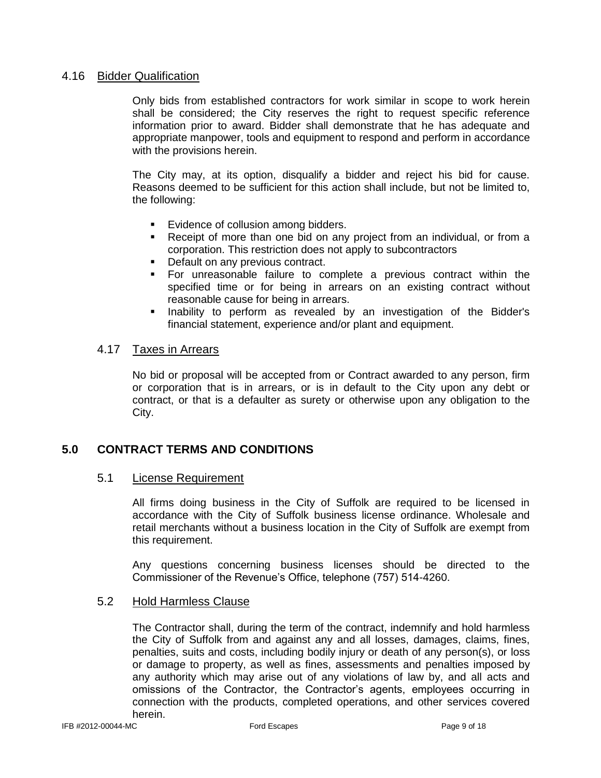#### 4.16 Bidder Qualification

Only bids from established contractors for work similar in scope to work herein shall be considered; the City reserves the right to request specific reference information prior to award. Bidder shall demonstrate that he has adequate and appropriate manpower, tools and equipment to respond and perform in accordance with the provisions herein.

The City may, at its option, disqualify a bidder and reject his bid for cause. Reasons deemed to be sufficient for this action shall include, but not be limited to, the following:

- **Evidence of collusion among bidders.**
- Receipt of more than one bid on any project from an individual, or from a corporation. This restriction does not apply to subcontractors
- **•** Default on any previous contract.
- For unreasonable failure to complete a previous contract within the specified time or for being in arrears on an existing contract without reasonable cause for being in arrears.
- Inability to perform as revealed by an investigation of the Bidder's financial statement, experience and/or plant and equipment.

## 4.17 Taxes in Arrears

No bid or proposal will be accepted from or Contract awarded to any person, firm or corporation that is in arrears, or is in default to the City upon any debt or contract, or that is a defaulter as surety or otherwise upon any obligation to the City.

## **5.0 CONTRACT TERMS AND CONDITIONS**

## 5.1 License Requirement

All firms doing business in the City of Suffolk are required to be licensed in accordance with the City of Suffolk business license ordinance. Wholesale and retail merchants without a business location in the City of Suffolk are exempt from this requirement.

Any questions concerning business licenses should be directed to the Commissioner of the Revenue's Office, telephone (757) 514-4260.

#### 5.2 Hold Harmless Clause

The Contractor shall, during the term of the contract, indemnify and hold harmless the City of Suffolk from and against any and all losses, damages, claims, fines, penalties, suits and costs, including bodily injury or death of any person(s), or loss or damage to property, as well as fines, assessments and penalties imposed by any authority which may arise out of any violations of law by, and all acts and omissions of the Contractor, the Contractor's agents, employees occurring in connection with the products, completed operations, and other services covered herein.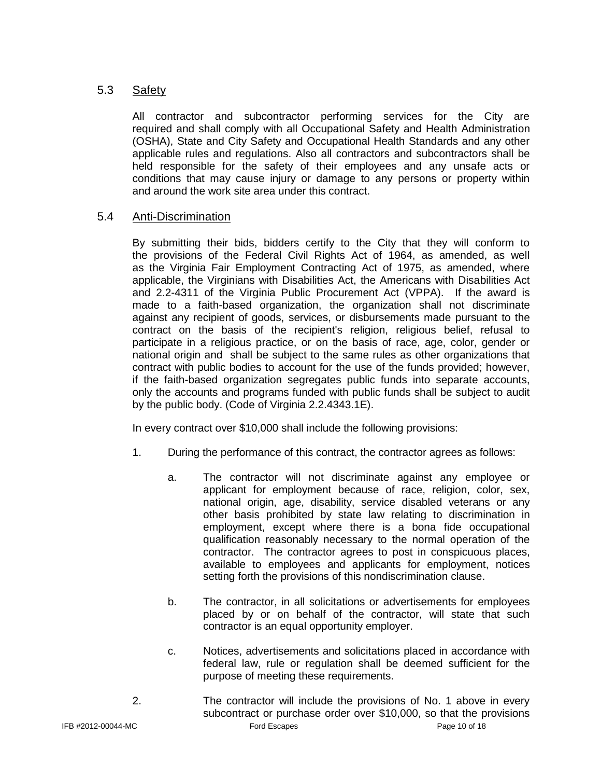## 5.3 Safety

All contractor and subcontractor performing services for the City are required and shall comply with all Occupational Safety and Health Administration (OSHA), State and City Safety and Occupational Health Standards and any other applicable rules and regulations. Also all contractors and subcontractors shall be held responsible for the safety of their employees and any unsafe acts or conditions that may cause injury or damage to any persons or property within and around the work site area under this contract.

## 5.4 Anti-Discrimination

By submitting their bids, bidders certify to the City that they will conform to the provisions of the Federal Civil Rights Act of 1964, as amended, as well as the Virginia Fair Employment Contracting Act of 1975, as amended, where applicable, the Virginians with Disabilities Act, the Americans with Disabilities Act and 2.2-4311 of the Virginia Public Procurement Act (VPPA). If the award is made to a faith-based organization, the organization shall not discriminate against any recipient of goods, services, or disbursements made pursuant to the contract on the basis of the recipient's religion, religious belief, refusal to participate in a religious practice, or on the basis of race, age, color, gender or national origin and shall be subject to the same rules as other organizations that contract with public bodies to account for the use of the funds provided; however, if the faith-based organization segregates public funds into separate accounts, only the accounts and programs funded with public funds shall be subject to audit by the public body. (Code of Virginia 2.2.4343.1E).

In every contract over \$10,000 shall include the following provisions:

- 1. During the performance of this contract, the contractor agrees as follows:
	- a. The contractor will not discriminate against any employee or applicant for employment because of race, religion, color, sex, national origin, age, disability, service disabled veterans or any other basis prohibited by state law relating to discrimination in employment, except where there is a bona fide occupational qualification reasonably necessary to the normal operation of the contractor. The contractor agrees to post in conspicuous places, available to employees and applicants for employment, notices setting forth the provisions of this nondiscrimination clause.
	- b. The contractor, in all solicitations or advertisements for employees placed by or on behalf of the contractor, will state that such contractor is an equal opportunity employer.
	- c. Notices, advertisements and solicitations placed in accordance with federal law, rule or regulation shall be deemed sufficient for the purpose of meeting these requirements.
- IFB #2012-00044-MC Ford Escapes Page 10 of 18 2. The contractor will include the provisions of No. 1 above in every subcontract or purchase order over \$10,000, so that the provisions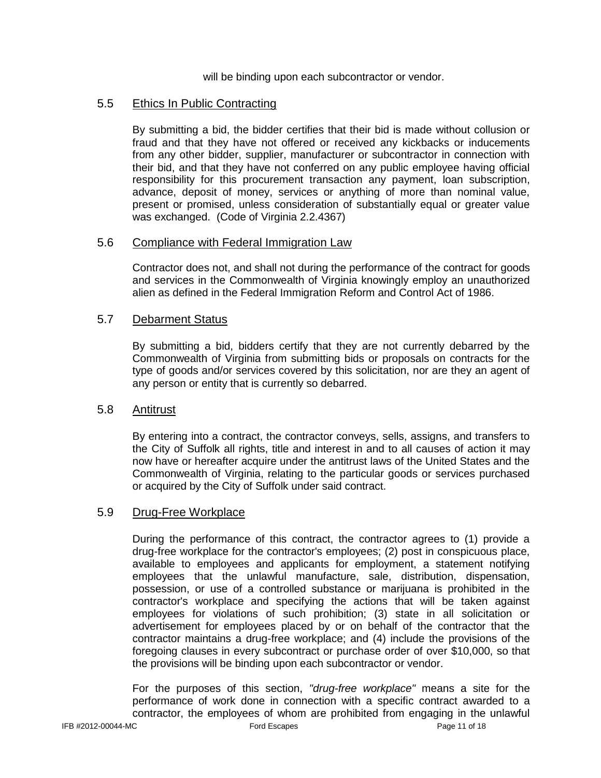will be binding upon each subcontractor or vendor.

## 5.5 Ethics In Public Contracting

By submitting a bid, the bidder certifies that their bid is made without collusion or fraud and that they have not offered or received any kickbacks or inducements from any other bidder, supplier, manufacturer or subcontractor in connection with their bid, and that they have not conferred on any public employee having official responsibility for this procurement transaction any payment, loan subscription, advance, deposit of money, services or anything of more than nominal value, present or promised, unless consideration of substantially equal or greater value was exchanged. (Code of Virginia 2.2.4367)

## 5.6 Compliance with Federal Immigration Law

Contractor does not, and shall not during the performance of the contract for goods and services in the Commonwealth of Virginia knowingly employ an unauthorized alien as defined in the Federal Immigration Reform and Control Act of 1986.

## 5.7 Debarment Status

By submitting a bid, bidders certify that they are not currently debarred by the Commonwealth of Virginia from submitting bids or proposals on contracts for the type of goods and/or services covered by this solicitation, nor are they an agent of any person or entity that is currently so debarred.

## 5.8 Antitrust

By entering into a contract, the contractor conveys, sells, assigns, and transfers to the City of Suffolk all rights, title and interest in and to all causes of action it may now have or hereafter acquire under the antitrust laws of the United States and the Commonwealth of Virginia, relating to the particular goods or services purchased or acquired by the City of Suffolk under said contract.

## 5.9 Drug-Free Workplace

During the performance of this contract, the contractor agrees to (1) provide a drug-free workplace for the contractor's employees; (2) post in conspicuous place, available to employees and applicants for employment, a statement notifying employees that the unlawful manufacture, sale, distribution, dispensation, possession, or use of a controlled substance or marijuana is prohibited in the contractor's workplace and specifying the actions that will be taken against employees for violations of such prohibition; (3) state in all solicitation or advertisement for employees placed by or on behalf of the contractor that the contractor maintains a drug-free workplace; and (4) include the provisions of the foregoing clauses in every subcontract or purchase order of over \$10,000, so that the provisions will be binding upon each subcontractor or vendor.

IFB #2012-00044-MC Ford Escapes Page 11 of 18 For the purposes of this section, *"drug-free workplace"* means a site for the performance of work done in connection with a specific contract awarded to a contractor, the employees of whom are prohibited from engaging in the unlawful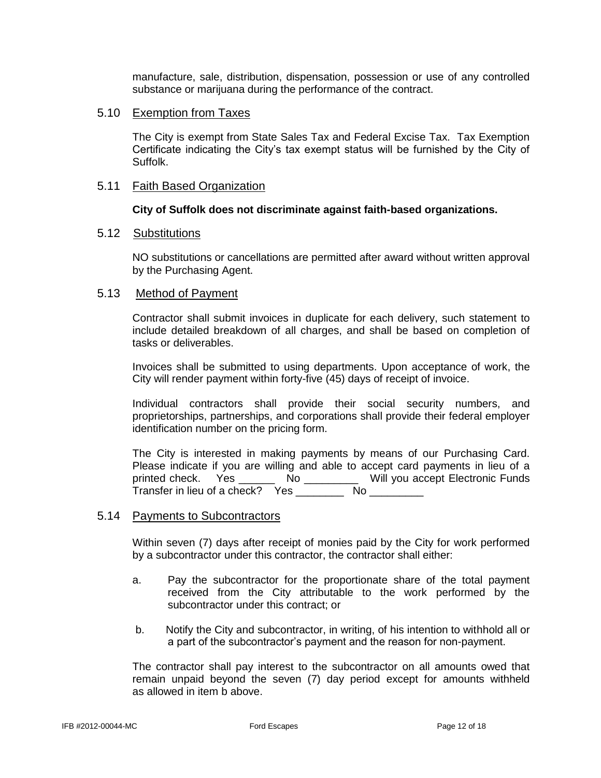manufacture, sale, distribution, dispensation, possession or use of any controlled substance or marijuana during the performance of the contract.

#### 5.10 Exemption from Taxes

The City is exempt from State Sales Tax and Federal Excise Tax. Tax Exemption Certificate indicating the City's tax exempt status will be furnished by the City of Suffolk.

#### 5.11 Faith Based Organization

#### **City of Suffolk does not discriminate against faith-based organizations.**

#### 5.12 Substitutions

NO substitutions or cancellations are permitted after award without written approval by the Purchasing Agent.

#### 5.13 Method of Payment

Contractor shall submit invoices in duplicate for each delivery, such statement to include detailed breakdown of all charges, and shall be based on completion of tasks or deliverables.

Invoices shall be submitted to using departments. Upon acceptance of work, the City will render payment within forty-five (45) days of receipt of invoice.

Individual contractors shall provide their social security numbers, and proprietorships, partnerships, and corporations shall provide their federal employer identification number on the pricing form.

The City is interested in making payments by means of our Purchasing Card. Please indicate if you are willing and able to accept card payments in lieu of a printed check. Yes \_\_\_\_\_\_ No \_\_\_\_\_\_\_\_\_ Will you accept Electronic Funds Transfer in lieu of a check? Yes \_\_\_\_\_\_\_\_\_ No \_\_\_\_\_\_\_\_\_

#### 5.14 Payments to Subcontractors

Within seven (7) days after receipt of monies paid by the City for work performed by a subcontractor under this contractor, the contractor shall either:

- a. Pay the subcontractor for the proportionate share of the total payment received from the City attributable to the work performed by the subcontractor under this contract; or
- b. Notify the City and subcontractor, in writing, of his intention to withhold all or a part of the subcontractor's payment and the reason for non-payment.

The contractor shall pay interest to the subcontractor on all amounts owed that remain unpaid beyond the seven (7) day period except for amounts withheld as allowed in item b above.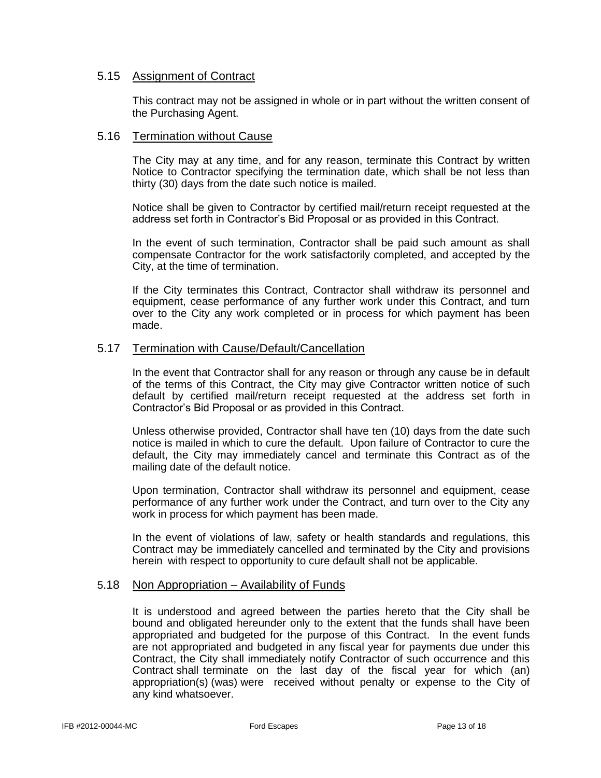#### 5.15 Assignment of Contract

This contract may not be assigned in whole or in part without the written consent of the Purchasing Agent.

#### 5.16 Termination without Cause

The City may at any time, and for any reason, terminate this Contract by written Notice to Contractor specifying the termination date, which shall be not less than thirty (30) days from the date such notice is mailed.

Notice shall be given to Contractor by certified mail/return receipt requested at the address set forth in Contractor's Bid Proposal or as provided in this Contract.

In the event of such termination, Contractor shall be paid such amount as shall compensate Contractor for the work satisfactorily completed, and accepted by the City, at the time of termination.

If the City terminates this Contract, Contractor shall withdraw its personnel and equipment, cease performance of any further work under this Contract, and turn over to the City any work completed or in process for which payment has been made.

#### 5.17 Termination with Cause/Default/Cancellation

In the event that Contractor shall for any reason or through any cause be in default of the terms of this Contract, the City may give Contractor written notice of such default by certified mail/return receipt requested at the address set forth in Contractor's Bid Proposal or as provided in this Contract.

Unless otherwise provided, Contractor shall have ten (10) days from the date such notice is mailed in which to cure the default. Upon failure of Contractor to cure the default, the City may immediately cancel and terminate this Contract as of the mailing date of the default notice.

Upon termination, Contractor shall withdraw its personnel and equipment, cease performance of any further work under the Contract, and turn over to the City any work in process for which payment has been made.

In the event of violations of law, safety or health standards and regulations, this Contract may be immediately cancelled and terminated by the City and provisions herein with respect to opportunity to cure default shall not be applicable.

#### 5.18 Non Appropriation – Availability of Funds

It is understood and agreed between the parties hereto that the City shall be bound and obligated hereunder only to the extent that the funds shall have been appropriated and budgeted for the purpose of this Contract. In the event funds are not appropriated and budgeted in any fiscal year for payments due under this Contract, the City shall immediately notify Contractor of such occurrence and this Contract shall terminate on the last day of the fiscal year for which (an) appropriation(s) (was) were received without penalty or expense to the City of any kind whatsoever.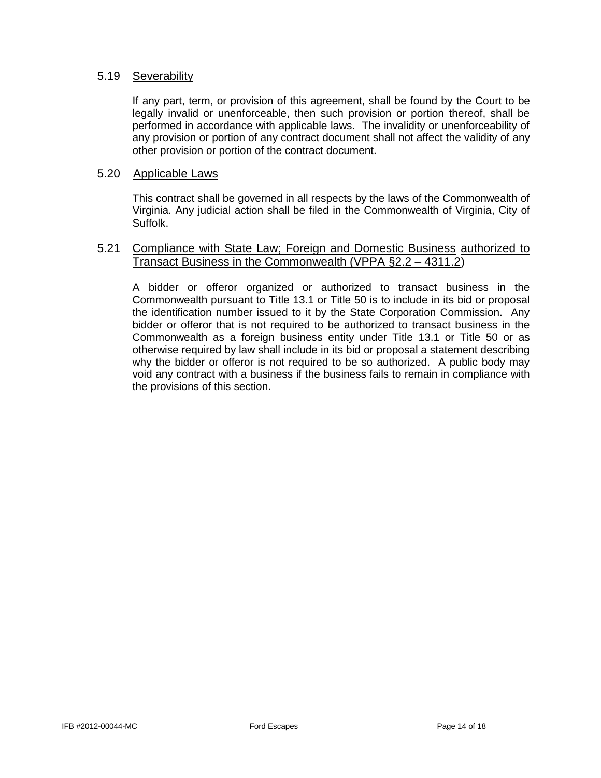## 5.19 Severability

If any part, term, or provision of this agreement, shall be found by the Court to be legally invalid or unenforceable, then such provision or portion thereof, shall be performed in accordance with applicable laws. The invalidity or unenforceability of any provision or portion of any contract document shall not affect the validity of any other provision or portion of the contract document.

#### 5.20 Applicable Laws

This contract shall be governed in all respects by the laws of the Commonwealth of Virginia. Any judicial action shall be filed in the Commonwealth of Virginia, City of Suffolk.

#### 5.21 Compliance with State Law; Foreign and Domestic Business authorized to Transact Business in the Commonwealth (VPPA §2.2 – 4311.2)

A bidder or offeror organized or authorized to transact business in the Commonwealth pursuant to Title 13.1 or Title 50 is to include in its bid or proposal the identification number issued to it by the State Corporation Commission. Any bidder or offeror that is not required to be authorized to transact business in the Commonwealth as a foreign business entity under Title 13.1 or Title 50 or as otherwise required by law shall include in its bid or proposal a statement describing why the bidder or offeror is not required to be so authorized. A public body may void any contract with a business if the business fails to remain in compliance with the provisions of this section.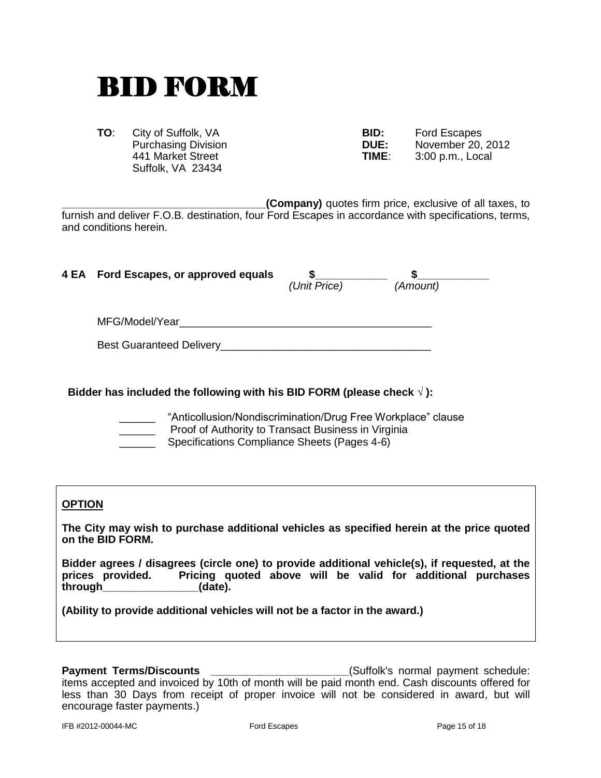## BID FORM

**TO:** City of Suffolk, VA **Purchasing Division 441 Market Street** Suffolk, VA 23434

| BID:        | Ford Escapes      |
|-------------|-------------------|
| <b>DUE:</b> | November 20, 2012 |
| TIME:       | 3:00 p.m., Local  |

**(Company)** quotes firm price, exclusive of all taxes, to furnish and deliver F.O.B. destination, four Ford Escapes in accordance with specifications, terms, and conditions herein.

| 4 EA Ford Escapes, or approved equals | (Unit Price) | (Amount) |  |
|---------------------------------------|--------------|----------|--|
| MFG/Model/Year                        |              |          |  |
| <b>Best Guaranteed Delivery</b>       |              |          |  |

#### **Bidder has included the following with his BID FORM (please check √ ):**

"Anticollusion/Nondiscrimination/Drug Free Workplace" clause Proof of Authority to Transact Business in Virginia

Specifications Compliance Sheets (Pages 4-6)

## **OPTION**

**The City may wish to purchase additional vehicles as specified herein at the price quoted on the BID FORM.** 

**Bidder agrees / disagrees (circle one) to provide additional vehicle(s), if requested, at the prices provided. Pricing quoted above will be valid for additional purchases through\_\_\_\_\_\_\_\_\_\_\_\_\_\_\_\_(date).**

**(Ability to provide additional vehicles will not be a factor in the award.)**

**Payment Terms/Discounts Payment Terms/Discounts Example 20** (Suffolk's normal payment schedule: items accepted and invoiced by 10th of month will be paid month end. Cash discounts offered for less than 30 Days from receipt of proper invoice will not be considered in award, but will encourage faster payments.)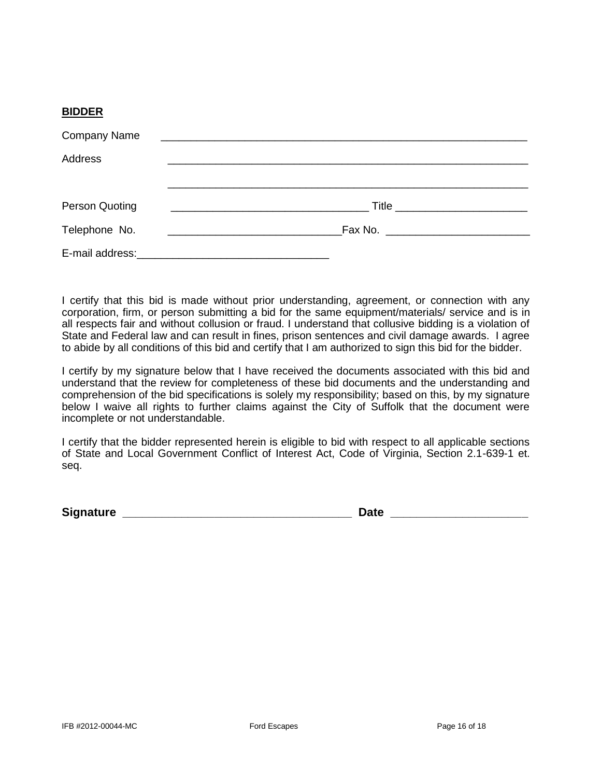#### **BIDDER**

| <b>Company Name</b> |  |
|---------------------|--|
| <b>Address</b>      |  |
|                     |  |
| Person Quoting      |  |
| Telephone No.       |  |
|                     |  |

I certify that this bid is made without prior understanding, agreement, or connection with any corporation, firm, or person submitting a bid for the same equipment/materials/ service and is in all respects fair and without collusion or fraud. I understand that collusive bidding is a violation of State and Federal law and can result in fines, prison sentences and civil damage awards. I agree to abide by all conditions of this bid and certify that I am authorized to sign this bid for the bidder.

I certify by my signature below that I have received the documents associated with this bid and understand that the review for completeness of these bid documents and the understanding and comprehension of the bid specifications is solely my responsibility; based on this, by my signature below I waive all rights to further claims against the City of Suffolk that the document were incomplete or not understandable.

I certify that the bidder represented herein is eligible to bid with respect to all applicable sections of State and Local Government Conflict of Interest Act, Code of Virginia, Section 2.1-639-1 et. seq.

**Signature \_\_\_\_\_\_\_\_\_\_\_\_\_\_\_\_\_\_\_\_\_\_\_\_\_\_\_\_\_\_\_\_\_\_\_ Date \_\_\_\_\_\_\_\_\_\_\_\_\_\_\_\_\_\_\_\_\_**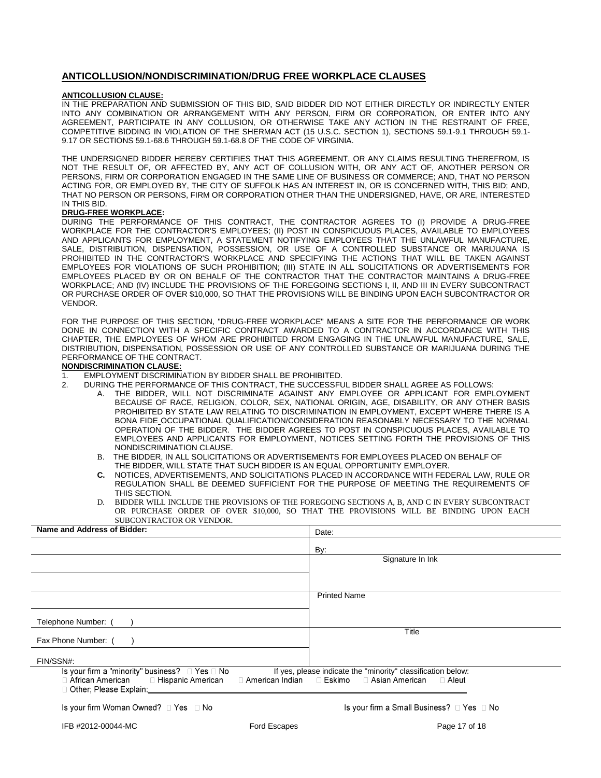#### **ANTICOLLUSION/NONDISCRIMINATION/DRUG FREE WORKPLACE CLAUSES**

#### **ANTICOLLUSION CLAUSE:**

IN THE PREPARATION AND SUBMISSION OF THIS BID, SAID BIDDER DID NOT EITHER DIRECTLY OR INDIRECTLY ENTER INTO ANY COMBINATION OR ARRANGEMENT WITH ANY PERSON, FIRM OR CORPORATION, OR ENTER INTO ANY AGREEMENT, PARTICIPATE IN ANY COLLUSION, OR OTHERWISE TAKE ANY ACTION IN THE RESTRAINT OF FREE, COMPETITIVE BIDDING IN VIOLATION OF THE SHERMAN ACT (15 U.S.C. SECTION 1), SECTIONS 59.1-9.1 THROUGH 59.1- 9.17 OR SECTIONS 59.1-68.6 THROUGH 59.1-68.8 OF THE CODE OF VIRGINIA.

THE UNDERSIGNED BIDDER HEREBY CERTIFIES THAT THIS AGREEMENT, OR ANY CLAIMS RESULTING THEREFROM, IS NOT THE RESULT OF, OR AFFECTED BY, ANY ACT OF COLLUSION WITH, OR ANY ACT OF, ANOTHER PERSON OR PERSONS, FIRM OR CORPORATION ENGAGED IN THE SAME LINE OF BUSINESS OR COMMERCE; AND, THAT NO PERSON ACTING FOR, OR EMPLOYED BY, THE CITY OF SUFFOLK HAS AN INTEREST IN, OR IS CONCERNED WITH, THIS BID; AND, THAT NO PERSON OR PERSONS, FIRM OR CORPORATION OTHER THAN THE UNDERSIGNED, HAVE, OR ARE, INTERESTED IN THIS BID.

#### **DRUG-FREE WORKPLACE:**

DURING THE PERFORMANCE OF THIS CONTRACT, THE CONTRACTOR AGREES TO (I) PROVIDE A DRUG-FREE WORKPLACE FOR THE CONTRACTOR'S EMPLOYEES; (II) POST IN CONSPICUOUS PLACES, AVAILABLE TO EMPLOYEES AND APPLICANTS FOR EMPLOYMENT, A STATEMENT NOTIFYING EMPLOYEES THAT THE UNLAWFUL MANUFACTURE, SALE, DISTRIBUTION, DISPENSATION, POSSESSION, OR USE OF A CONTROLLED SUBSTANCE OR MARIJUANA IS PROHIBITED IN THE CONTRACTOR'S WORKPLACE AND SPECIFYING THE ACTIONS THAT WILL BE TAKEN AGAINST EMPLOYEES FOR VIOLATIONS OF SUCH PROHIBITION; (III) STATE IN ALL SOLICITATIONS OR ADVERTISEMENTS FOR EMPLOYEES PLACED BY OR ON BEHALF OF THE CONTRACTOR THAT THE CONTRACTOR MAINTAINS A DRUG-FREE WORKPLACE; AND (IV) INCLUDE THE PROVISIONS OF THE FOREGOING SECTIONS I, II, AND III IN EVERY SUBCONTRACT OR PURCHASE ORDER OF OVER \$10,000, SO THAT THE PROVISIONS WILL BE BINDING UPON EACH SUBCONTRACTOR OR VENDOR.

FOR THE PURPOSE OF THIS SECTION, "DRUG-FREE WORKPLACE" MEANS A SITE FOR THE PERFORMANCE OR WORK DONE IN CONNECTION WITH A SPECIFIC CONTRACT AWARDED TO A CONTRACTOR IN ACCORDANCE WITH THIS CHAPTER, THE EMPLOYEES OF WHOM ARE PROHIBITED FROM ENGAGING IN THE UNLAWFUL MANUFACTURE, SALE, DISTRIBUTION, DISPENSATION, POSSESSION OR USE OF ANY CONTROLLED SUBSTANCE OR MARIJUANA DURING THE PERFORMANCE OF THE CONTRACT.

#### **NONDISCRIMINATION CLAUSE:**

- 1. EMPLOYMENT DISCRIMINATION BY BIDDER SHALL BE PROHIBITED.
- 2. DURING THE PERFORMANCE OF THIS CONTRACT, THE SUCCESSFUL BIDDER SHALL AGREE AS FOLLOWS:
	- A. THE BIDDER, WILL NOT DISCRIMINATE AGAINST ANY EMPLOYEE OR APPLICANT FOR EMPLOYMENT BECAUSE OF RACE, RELIGION, COLOR, SEX, NATIONAL ORIGIN, AGE, DISABILITY, OR ANY OTHER BASIS PROHIBITED BY STATE LAW RELATING TO DISCRIMINATION IN EMPLOYMENT, EXCEPT WHERE THERE IS A BONA FIDE OCCUPATIONAL QUALIFICATION/CONSIDERATION REASONABLY NECESSARY TO THE NORMAL OPERATION OF THE BIDDER. THE BIDDER AGREES TO POST IN CONSPICUOUS PLACES, AVAILABLE TO EMPLOYEES AND APPLICANTS FOR EMPLOYMENT, NOTICES SETTING FORTH THE PROVISIONS OF THIS NONDISCRIMINATION CLAUSE.
	- B. THE BIDDER, IN ALL SOLICITATIONS OR ADVERTISEMENTS FOR EMPLOYEES PLACED ON BEHALF OF THE BIDDER, WILL STATE THAT SUCH BIDDER IS AN EQUAL OPPORTUNITY EMPLOYER.
	- **C.** NOTICES, ADVERTISEMENTS, AND SOLICITATIONS PLACED IN ACCORDANCE WITH FEDERAL LAW, RULE OR REGULATION SHALL BE DEEMED SUFFICIENT FOR THE PURPOSE OF MEETING THE REQUIREMENTS OF THIS SECTION.
	- D. BIDDER WILL INCLUDE THE PROVISIONS OF THE FOREGOING SECTIONS A, B, AND C IN EVERY SUBCONTRACT OR PURCHASE ORDER OF OVER \$10,000, SO THAT THE PROVISIONS WILL BE BINDING UPON EACH SUBCONTRACTOR OR VENDOR.

| Name and Address of Bidder:                                                                                                                             | Date:                                                                                                                                                                                                                                                                                                 |
|---------------------------------------------------------------------------------------------------------------------------------------------------------|-------------------------------------------------------------------------------------------------------------------------------------------------------------------------------------------------------------------------------------------------------------------------------------------------------|
|                                                                                                                                                         | By:                                                                                                                                                                                                                                                                                                   |
|                                                                                                                                                         | Signature In Ink                                                                                                                                                                                                                                                                                      |
|                                                                                                                                                         |                                                                                                                                                                                                                                                                                                       |
|                                                                                                                                                         | <b>Printed Name</b>                                                                                                                                                                                                                                                                                   |
|                                                                                                                                                         |                                                                                                                                                                                                                                                                                                       |
| Telephone Number:                                                                                                                                       |                                                                                                                                                                                                                                                                                                       |
| Fax Phone Number: (                                                                                                                                     | Title                                                                                                                                                                                                                                                                                                 |
| FIN/SSN#:                                                                                                                                               |                                                                                                                                                                                                                                                                                                       |
| Is your firm a "minority" business? $\Box$ Yes $\Box$ No                                                                                                | If yes, please indicate the "minority" classification below:<br>□ American Indian □ Eskimo □ Asian American                                                                                                                                                                                           |
| $\Box$ African American $\Box$ Hispanic American<br>□ Other: Please Explain:                                                                            | ⊟ Aleut                                                                                                                                                                                                                                                                                               |
| $1 - \cdots$ find $M_{\text{max}}$ $\bigcap_{n=1}^{\infty}$ $\bigcap_{n=1}^{\infty}$ $\bigcap_{n=1}^{\infty}$ $\bigcap_{n=1}^{\infty}$ $M_{\text{max}}$ | $\mathbf{L}$ and $\mathbf{L}$ and $\mathbf{L}$ $\mathbf{L}$ and $\mathbf{L}$ $\mathbf{L}$ and $\mathbf{L}$ and $\mathbf{L}$ and $\mathbf{L}$ and $\mathbf{L}$ and $\mathbf{L}$ and $\mathbf{L}$ and $\mathbf{L}$ and $\mathbf{L}$ and $\mathbf{L}$ and $\mathbf{L}$ and $\mathbf{L}$ and $\mathbf{L}$ |

Is your firm Woman Owned?  $\Box$  Yes  $\Box$  No